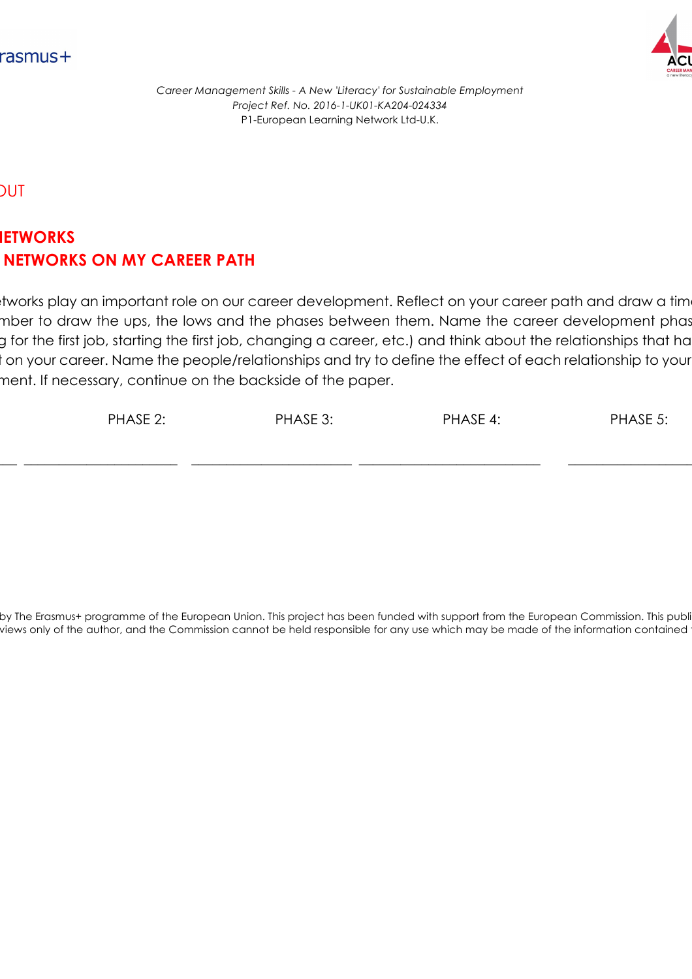



HAND-OUT

## **AREA:** NETWORKS **NETWORKS ON MY CAREER PATH**

tworks play an important role on our career development. Reflect on your career path and draw a tim mber to draw the ups, the lows and the phases between them. Name the career development phas g for the first job, starting the first job, changing a career, etc.) and think about the relationships that ha t on your career. Name the people/relationships and try to define the effect of each relationship to your ment. If necessary, continue on the backside of the paper.

| PHASE 2: | PHASE 3: | PHASE 4: | PHASE 5: |
|----------|----------|----------|----------|
|          |          |          |          |

by The Erasmus+ programme of the European Union. This project has been funded with support from the European Commission. This publi views only of the author, and the Commission cannot be held responsible for any use which may be made of the information contained